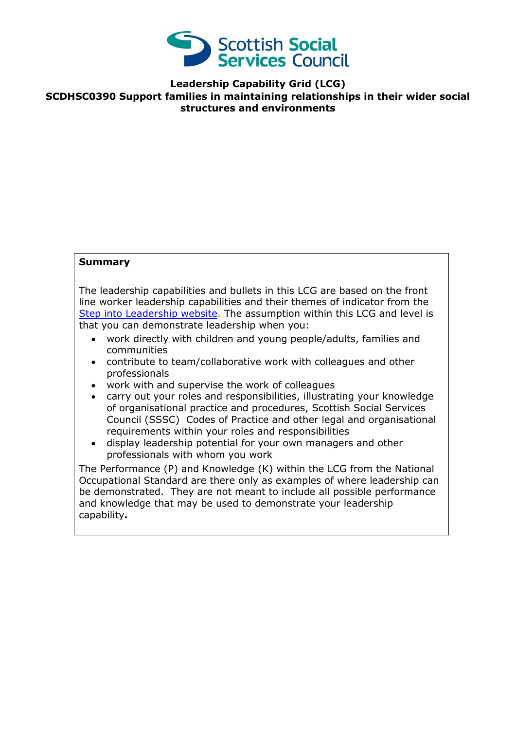

**Leadership Capability Grid (LCG)**

**SCDHSC0390 Support families in maintaining relationships in their wider social structures and environments**

## **Summary**

The leadership capabilities and bullets in this LCG are based on the front line worker leadership capabilities and their themes of indicator from the [Step into Leadership website.](http://www.stepintoleadership.info/) The assumption within this LCG and level is that you can demonstrate leadership when you:

- work directly with children and young people/adults, families and communities
- contribute to team/collaborative work with colleagues and other professionals
- work with and supervise the work of colleagues
- carry out your roles and responsibilities, illustrating your knowledge of organisational practice and procedures, Scottish Social Services Council (SSSC) Codes of Practice and other legal and organisational requirements within your roles and responsibilities
- display leadership potential for your own managers and other professionals with whom you work

The Performance (P) and Knowledge (K) within the LCG from the National Occupational Standard are there only as examples of where leadership can be demonstrated. They are not meant to include all possible performance and knowledge that may be used to demonstrate your leadership capability**.**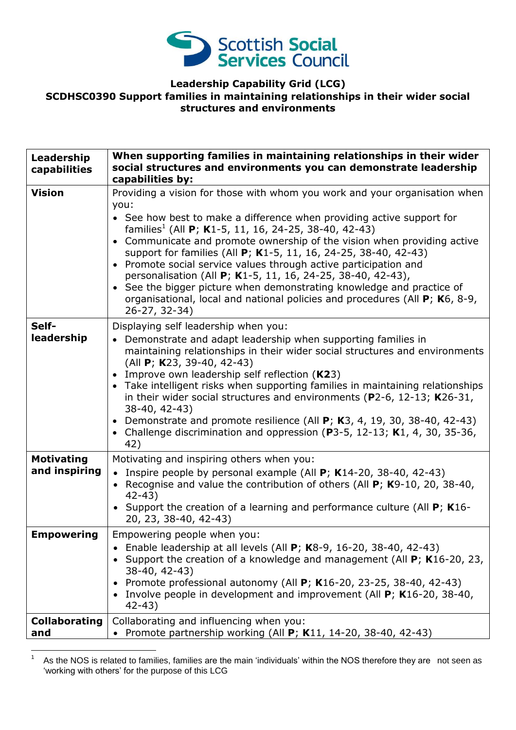

## **Leadership Capability Grid (LCG) SCDHSC0390 Support families in maintaining relationships in their wider social structures and environments**

| Leadership<br>capabilities         | When supporting families in maintaining relationships in their wider<br>social structures and environments you can demonstrate leadership<br>capabilities by:                                                                                                                                                                                                                                                                                                                                                                                                                                                                                                                                             |
|------------------------------------|-----------------------------------------------------------------------------------------------------------------------------------------------------------------------------------------------------------------------------------------------------------------------------------------------------------------------------------------------------------------------------------------------------------------------------------------------------------------------------------------------------------------------------------------------------------------------------------------------------------------------------------------------------------------------------------------------------------|
| <b>Vision</b>                      | Providing a vision for those with whom you work and your organisation when<br>you:<br>• See how best to make a difference when providing active support for<br>families <sup>1</sup> (All <b>P</b> ; <b>K</b> 1-5, 11, 16, 24-25, 38-40, 42-43)<br>• Communicate and promote ownership of the vision when providing active<br>support for families (All P; K1-5, 11, 16, 24-25, 38-40, 42-43)<br>• Promote social service values through active participation and<br>personalisation (All P; K1-5, 11, 16, 24-25, 38-40, 42-43),<br>• See the bigger picture when demonstrating knowledge and practice of<br>organisational, local and national policies and procedures (All P; K6, 8-9,<br>26-27, 32-34) |
| Self-<br>leadership                | Displaying self leadership when you:<br>• Demonstrate and adapt leadership when supporting families in<br>maintaining relationships in their wider social structures and environments<br>(All P; K23, 39-40, 42-43)<br>Improve own leadership self reflection (K23)<br>$\bullet$<br>• Take intelligent risks when supporting families in maintaining relationships<br>in their wider social structures and environments (P2-6, 12-13; $K26-31$ ,<br>38-40, 42-43)<br>• Demonstrate and promote resilience (All $P$ ; K3, 4, 19, 30, 38-40, 42-43)<br>• Challenge discrimination and oppression ( $P3-5$ , 12-13; K1, 4, 30, 35-36,<br>42)                                                                 |
| <b>Motivating</b><br>and inspiring | Motivating and inspiring others when you:<br>Inspire people by personal example (All $P$ ; K14-20, 38-40, 42-43)<br>$\bullet$<br>• Recognise and value the contribution of others (All $P$ ; K9-10, 20, 38-40,<br>$42 - 43$<br>• Support the creation of a learning and performance culture (All P; K16-<br>20, 23, 38-40, 42-43)                                                                                                                                                                                                                                                                                                                                                                         |
| <b>Empowering</b>                  | Empowering people when you:<br>Enable leadership at all levels (All $P$ ; K8-9, 16-20, 38-40, 42-43)<br>• Support the creation of a knowledge and management (All $P$ ; K16-20, 23,<br>38-40, 42-43)<br>Promote professional autonomy (All $P$ ; K16-20, 23-25, 38-40, 42-43)<br>Involve people in development and improvement (All $P$ ; K16-20, 38-40,<br>$42 - 43$                                                                                                                                                                                                                                                                                                                                     |
| <b>Collaborating</b><br>and        | Collaborating and influencing when you:<br>Promote partnership working (All P; K11, 14-20, 38-40, 42-43)                                                                                                                                                                                                                                                                                                                                                                                                                                                                                                                                                                                                  |

 $\frac{1}{1}$  As the NOS is related to families, families are the main 'individuals' within the NOS therefore they are not seen as 'working with others' for the purpose of this LCG